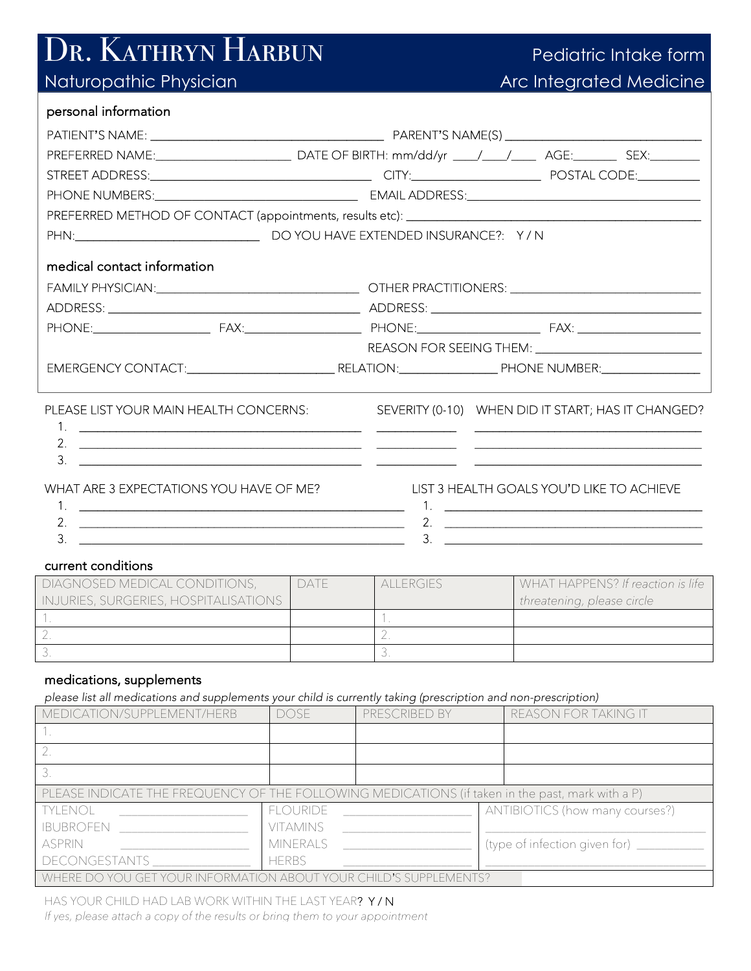# Dr. Kathryn Harbun Pediatric Intake form

## Arc Integrated Medicine

(type of infection given for) \_

| personal information                                                                                                                                                                                                           |                 |                  |                                 |                                                                                                 |
|--------------------------------------------------------------------------------------------------------------------------------------------------------------------------------------------------------------------------------|-----------------|------------------|---------------------------------|-------------------------------------------------------------------------------------------------|
|                                                                                                                                                                                                                                |                 |                  |                                 |                                                                                                 |
|                                                                                                                                                                                                                                |                 |                  |                                 |                                                                                                 |
|                                                                                                                                                                                                                                |                 |                  |                                 |                                                                                                 |
|                                                                                                                                                                                                                                |                 |                  |                                 |                                                                                                 |
| PREFERRED METHOD OF CONTACT (appointments, results etc): \\connection materials are not result as no results and results are not results are not results are not results are not results are not results are not results are n |                 |                  |                                 |                                                                                                 |
|                                                                                                                                                                                                                                |                 |                  |                                 |                                                                                                 |
| medical contact information                                                                                                                                                                                                    |                 |                  |                                 |                                                                                                 |
|                                                                                                                                                                                                                                |                 |                  |                                 |                                                                                                 |
|                                                                                                                                                                                                                                |                 |                  |                                 |                                                                                                 |
|                                                                                                                                                                                                                                |                 |                  |                                 |                                                                                                 |
|                                                                                                                                                                                                                                |                 |                  |                                 |                                                                                                 |
|                                                                                                                                                                                                                                |                 |                  |                                 |                                                                                                 |
|                                                                                                                                                                                                                                |                 |                  |                                 |                                                                                                 |
| PLEASE LIST YOUR MAIN HEALTH CONCERNS:<br>3.<br><u> 1999 - Jan James James James James James James James James James James James James James James James James J</u><br>WHAT ARE 3 EXPECTATIONS YOU HAVE OF ME?                |                 |                  |                                 | SEVERITY (0-10) WHEN DID IT START; HAS IT CHANGED?<br>LIST 3 HEALTH GOALS YOU'D LIKE TO ACHIEVE |
|                                                                                                                                                                                                                                |                 |                  |                                 |                                                                                                 |
|                                                                                                                                                                                                                                |                 |                  |                                 | 2. $\qquad \qquad$                                                                              |
|                                                                                                                                                                                                                                |                 |                  |                                 |                                                                                                 |
| current conditions                                                                                                                                                                                                             |                 |                  |                                 |                                                                                                 |
| DIAGNOSED MEDICAL CONDITIONS,<br>INJURIES, SURGERIES, HOSPITALISATIONS                                                                                                                                                         | DATE            | <b>ALLERGIES</b> | threatening, please circle      | WHAT HAPPENS? If reaction is life                                                               |
|                                                                                                                                                                                                                                |                 | $1_{\ldots}$     |                                 |                                                                                                 |
|                                                                                                                                                                                                                                |                 | 2.               |                                 |                                                                                                 |
|                                                                                                                                                                                                                                |                 | $\overline{3}$   |                                 |                                                                                                 |
| medications, supplements                                                                                                                                                                                                       |                 |                  |                                 |                                                                                                 |
| please list all medications and supplements your child is currently taking (prescription and non-prescription)<br>MEDICATION/SUPPLEMENT/HERB                                                                                   | <b>DOSE</b>     | PRESCRIBED BY    | REASON FOR TAKING IT            |                                                                                                 |
|                                                                                                                                                                                                                                |                 |                  |                                 |                                                                                                 |
| $\overline{2}$ .                                                                                                                                                                                                               |                 |                  |                                 |                                                                                                 |
| 3.                                                                                                                                                                                                                             |                 |                  |                                 |                                                                                                 |
| PLEASE INDICATE THE FREQUENCY OF THE FOLLOWING MEDICATIONS (if taken in the past, mark with a P)                                                                                                                               |                 |                  |                                 |                                                                                                 |
| <b>TYLENOL</b>                                                                                                                                                                                                                 | <b>FLOURIDE</b> |                  | ANTIBIOTICS (how many courses?) |                                                                                                 |
| <b>IBUBROFEN</b>                                                                                                                                                                                                               | <b>VITAMINS</b> |                  |                                 |                                                                                                 |

DECONGESTANTS HERBS \_\_\_\_\_\_\_\_\_\_\_\_\_\_\_\_\_\_\_\_\_ WHERE DO YOU GET YOUR INFORMATION ABOUT YOUR CHILD'S SUPPLEMENTS?

MINERALS

HAS YOUR CHILD HAD LAB WORK WITHIN THE LAST YEAR? Y / N *If yes, please attach a copy of the results or bring them to your appointment*

ASPRIN \_\_\_\_\_\_\_\_\_\_\_\_\_\_\_\_\_\_\_\_\_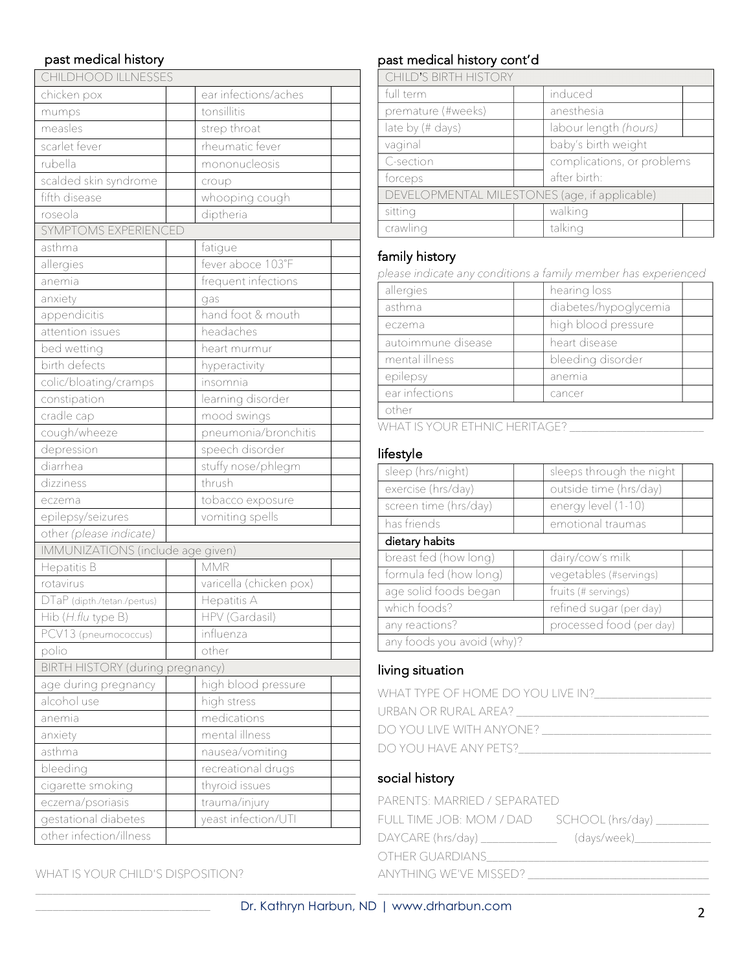#### past medical history

| CHILDHOOD ILLNESSES               |                         |
|-----------------------------------|-------------------------|
| chicken pox                       | ear infections/aches    |
| mumps                             | tonsillitis             |
| measles                           | strep throat            |
| scarlet fever                     | rheumatic fever         |
| rubella                           | mononucleosis           |
| scalded skin syndrome             | croup                   |
| fifth disease                     | whooping cough          |
| roseola                           | diptheria               |
| SYMPTOMS EXPERIENCED              |                         |
| asthma                            | fatigue                 |
| allergies                         | fever aboce 103°F       |
| anemia                            | frequent infections     |
| anxiety                           | gas                     |
| appendicitis                      | hand foot & mouth       |
| attention issues                  | headaches               |
| bed wetting                       | heart murmur            |
| birth defects                     | hyperactivity           |
| colic/bloating/cramps             | insomnia                |
| constipation                      | learning disorder       |
| cradle cap                        | mood swings             |
| cough/wheeze                      | pneumonia/bronchitis    |
| depression                        | speech disorder         |
| diarrhea                          | stuffy nose/phlegm      |
| dizziness                         | thrush                  |
| eczema                            | tobacco exposure        |
| epilepsy/seizures                 | vomiting spells         |
| other (please indicate)           |                         |
| IMMUNIZATIONS (include age given) |                         |
| Hepatitis B                       | MMR                     |
| rotavirus                         | varicella (chicken pox) |
| DTaP (dipth./tetan./pertus)       | Hepatitis A             |
| Hib (H.flu type B)                | <b>HPV</b> (Gardasil)   |
| PCV13 (pneumococcus)              | influenza               |
| polio                             | other                   |
| BIRTH HISTORY (during pregnancy)  |                         |
| age during pregnancy              | high blood pressure     |
| alcohol use                       | high stress             |
| anemia                            | medications             |
| anxiety                           | mental illness          |
| asthma                            | nausea/vomiting         |
| bleeding                          | recreational drugs      |
| cigarette smoking                 | thyroid issues          |
| eczema/psoriasis                  | trauma/injury           |
| gestational diabetes              | yeast infection/UTI     |
| other infection/illness           |                         |

WHAT IS YOUR CHILD'S DISPOSITION?

\_\_\_\_\_\_\_\_\_\_\_\_\_\_\_\_\_\_\_\_\_\_\_\_\_\_\_\_\_\_

### past medical history cont'd

CHILD'S BIRTH HISTORY

| vi 11 LD v Dii (11 LL 11 V LV L)              |  |                            |  |
|-----------------------------------------------|--|----------------------------|--|
| full term                                     |  | induced                    |  |
| premature (#weeks)                            |  | anesthesia                 |  |
| late by (# days)                              |  | labour length (hours)      |  |
| vaginal                                       |  | baby's birth weight        |  |
| C-section                                     |  | complications, or problems |  |
| forceps                                       |  | after birth:               |  |
| DEVELOPMENTAL MILESTONES (age, if applicable) |  |                            |  |
| sitting                                       |  | walking                    |  |
| crawling                                      |  | talking                    |  |

#### family history

*please indicate any conditions a family member has experienced* 

| allergies                                 | hearing loss          |  |
|-------------------------------------------|-----------------------|--|
| asthma                                    | diabetes/hypoglycemia |  |
| eczema                                    | high blood pressure   |  |
| autoimmune disease                        | heart disease         |  |
| mental illness                            | bleeding disorder     |  |
| epilepsy                                  | anemia                |  |
| ear infections                            | cancer                |  |
| other                                     |                       |  |
| <u>UU LA THC VOLLD ETHAILC HEDITA CEO</u> |                       |  |

WHAT IS YOUR ETHNIC HERITAGE?

#### lifestyle

| sleep (hrs/night)          | sleeps through the night |
|----------------------------|--------------------------|
| exercise (hrs/day)         | outside time (hrs/day)   |
| screen time (hrs/day)      | energy level (1-10)      |
| has friends                | emotional traumas        |
| dietary habits             |                          |
| breast fed (how long)      | dairy/cow's milk         |
| formula fed (how long)     | vegetables (#servings)   |
| age solid foods began      | fruits (# servings)      |
| which foods?               | refined sugar (per day)  |
| any reactions?             | processed food (per day) |
| any foods you avoid (why)? |                          |

#### living situation

| WHAT TYPE OF HOME DO YOU LIVE IN? |
|-----------------------------------|
| URBAN OR RURAL AREA?              |
| DO YOU LIVE WITH ANYONE?          |
| DO YOU HAVE ANY PETS?             |
|                                   |

#### social history

| PARENTS: MARRIED / SEPARATED                |              |  |
|---------------------------------------------|--------------|--|
| FULL TIME JOB: MOM / DAD SCHOOL (hrs/day) _ |              |  |
| $DAYCARE$ (hrs/day) $\_$                    | (days/week)_ |  |
| OTHER GUARDIANS                             |              |  |
| ANYTHING WE'VE MISSED?                      |              |  |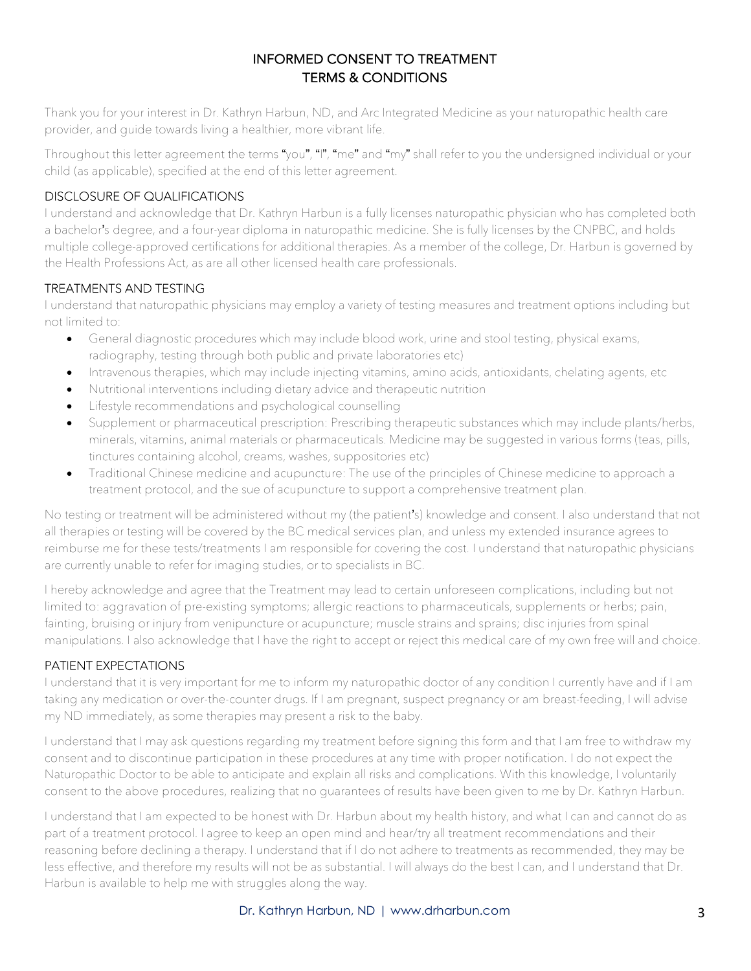#### INFORMED CONSENT TO TREATMENT TERMS & CONDITIONS

Thank you for your interest in Dr. Kathryn Harbun, ND, and Arc Integrated Medicine as your naturopathic health care provider, and guide towards living a healthier, more vibrant life.

Throughout this letter agreement the terms "you", "I", "me" and "my" shall refer to you the undersigned individual or your child (as applicable), specified at the end of this letter agreement.

#### DISCLOSURE OF QUALIFICATIONS

I understand and acknowledge that Dr. Kathryn Harbun is a fully licenses naturopathic physician who has completed both a bachelor's degree, and a four-year diploma in naturopathic medicine. She is fully licenses by the CNPBC, and holds multiple college-approved certifications for additional therapies. As a member of the college, Dr. Harbun is governed by the Health Professions Act, as are all other licensed health care professionals.

#### TREATMENTS AND TESTING

I understand that naturopathic physicians may employ a variety of testing measures and treatment options including but not limited to:

- General diagnostic procedures which may include blood work, urine and stool testing, physical exams, radiography, testing through both public and private laboratories etc)
- Intravenous therapies, which may include injecting vitamins, amino acids, antioxidants, chelating agents, etc
- Nutritional interventions including dietary advice and therapeutic nutrition
- Lifestyle recommendations and psychological counselling
- Supplement or pharmaceutical prescription: Prescribing therapeutic substances which may include plants/herbs, minerals, vitamins, animal materials or pharmaceuticals. Medicine may be suggested in various forms (teas, pills, tinctures containing alcohol, creams, washes, suppositories etc)
- Traditional Chinese medicine and acupuncture: The use of the principles of Chinese medicine to approach a treatment protocol, and the sue of acupuncture to support a comprehensive treatment plan.

No testing or treatment will be administered without my (the patient's) knowledge and consent. I also understand that not all therapies or testing will be covered by the BC medical services plan, and unless my extended insurance agrees to reimburse me for these tests/treatments I am responsible for covering the cost. I understand that naturopathic physicians are currently unable to refer for imaging studies, or to specialists in BC.

I hereby acknowledge and agree that the Treatment may lead to certain unforeseen complications, including but not limited to: aggravation of pre-existing symptoms; allergic reactions to pharmaceuticals, supplements or herbs; pain, fainting, bruising or injury from venipuncture or acupuncture; muscle strains and sprains; disc injuries from spinal manipulations. I also acknowledge that I have the right to accept or reject this medical care of my own free will and choice.

#### PATIENT EXPECTATIONS

I understand that it is very important for me to inform my naturopathic doctor of any condition I currently have and if I am taking any medication or over-the-counter drugs. If I am pregnant, suspect pregnancy or am breast-feeding, I will advise my ND immediately, as some therapies may present a risk to the baby.

I understand that I may ask questions regarding my treatment before signing this form and that I am free to withdraw my consent and to discontinue participation in these procedures at any time with proper notification. I do not expect the Naturopathic Doctor to be able to anticipate and explain all risks and complications. With this knowledge, I voluntarily consent to the above procedures, realizing that no guarantees of results have been given to me by Dr. Kathryn Harbun.

I understand that I am expected to be honest with Dr. Harbun about my health history, and what I can and cannot do as part of a treatment protocol. I agree to keep an open mind and hear/try all treatment recommendations and their reasoning before declining a therapy. I understand that if I do not adhere to treatments as recommended, they may be less effective, and therefore my results will not be as substantial. I will always do the best I can, and I understand that Dr. Harbun is available to help me with struggles along the way.

#### Dr. Kathryn Harbun, ND | www.drharbun.com